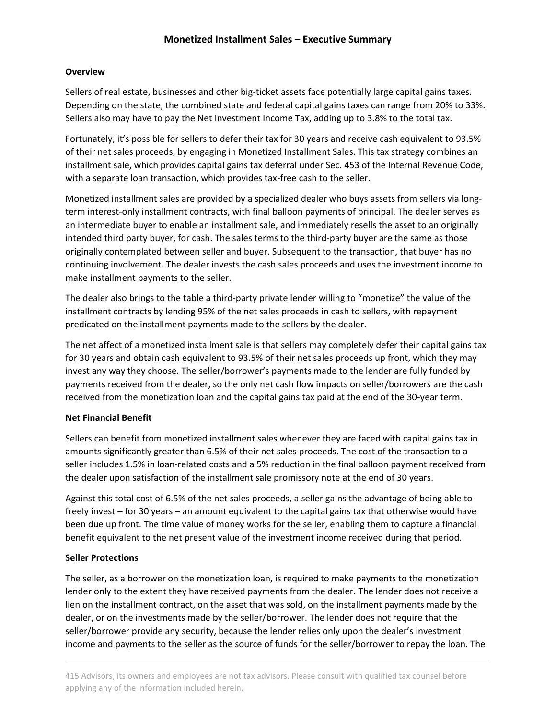# **Monetized Installment Sales – Executive Summary**

## **Overview**

Sellers of real estate, businesses and other big-ticket assets face potentially large capital gains taxes. Depending on the state, the combined state and federal capital gains taxes can range from 20% to 33%. Sellers also may have to pay the Net Investment Income Tax, adding up to 3.8% to the total tax.

Fortunately, it's possible for sellers to defer their tax for 30 years and receive cash equivalent to 93.5% of their net sales proceeds, by engaging in Monetized Installment Sales. This tax strategy combines an installment sale, which provides capital gains tax deferral under Sec. 453 of the Internal Revenue Code, with a separate loan transaction, which provides tax-free cash to the seller.

Monetized installment sales are provided by a specialized dealer who buys assets from sellers via longterm interest-only installment contracts, with final balloon payments of principal. The dealer serves as an intermediate buyer to enable an installment sale, and immediately resells the asset to an originally intended third party buyer, for cash. The sales terms to the third-party buyer are the same as those originally contemplated between seller and buyer. Subsequent to the transaction, that buyer has no continuing involvement. The dealer invests the cash sales proceeds and uses the investment income to make installment payments to the seller.

The dealer also brings to the table a third-party private lender willing to "monetize" the value of the installment contracts by lending 95% of the net sales proceeds in cash to sellers, with repayment predicated on the installment payments made to the sellers by the dealer.

The net affect of a monetized installment sale is that sellers may completely defer their capital gains tax for 30 years and obtain cash equivalent to 93.5% of their net sales proceeds up front, which they may invest any way they choose. The seller/borrower's payments made to the lender are fully funded by payments received from the dealer, so the only net cash flow impacts on seller/borrowers are the cash received from the monetization loan and the capital gains tax paid at the end of the 30-year term.

# **Net Financial Benefit**

Sellers can benefit from monetized installment sales whenever they are faced with capital gains tax in amounts significantly greater than 6.5% of their net sales proceeds. The cost of the transaction to a seller includes 1.5% in loan-related costs and a 5% reduction in the final balloon payment received from the dealer upon satisfaction of the installment sale promissory note at the end of 30 years.

Against this total cost of 6.5% of the net sales proceeds, a seller gains the advantage of being able to freely invest – for 30 years – an amount equivalent to the capital gains tax that otherwise would have been due up front. The time value of money works for the seller, enabling them to capture a financial benefit equivalent to the net present value of the investment income received during that period.

## **Seller Protections**

The seller, as a borrower on the monetization loan, is required to make payments to the monetization lender only to the extent they have received payments from the dealer. The lender does not receive a lien on the installment contract, on the asset that was sold, on the installment payments made by the dealer, or on the investments made by the seller/borrower. The lender does not require that the seller/borrower provide any security, because the lender relies only upon the dealer's investment income and payments to the seller as the source of funds for the seller/borrower to repay the loan. The